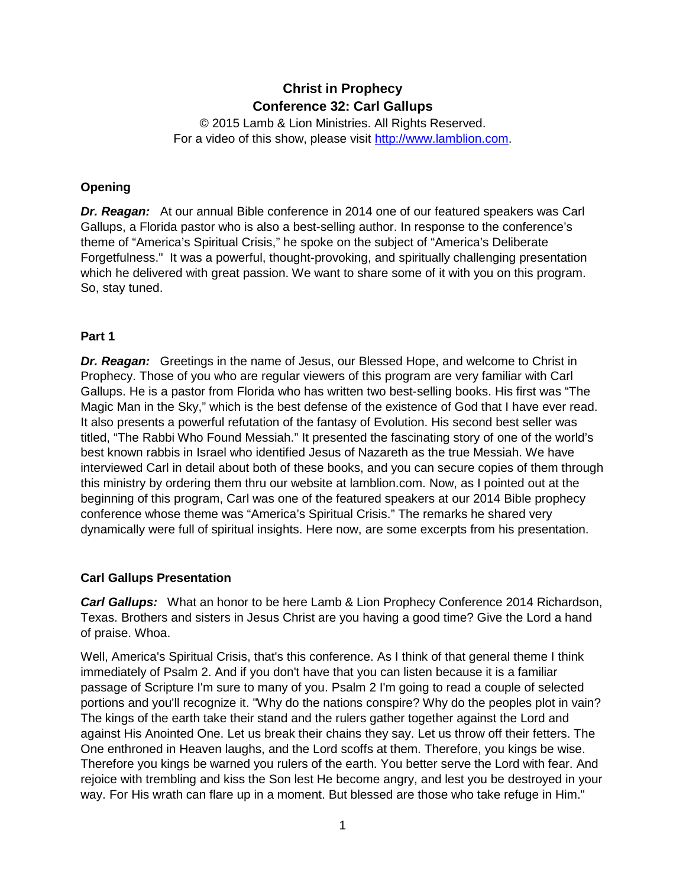# **Christ in Prophecy Conference 32: Carl Gallups**

© 2015 Lamb & Lion Ministries. All Rights Reserved. For a video of this show, please visit [http://www.lamblion.com.](http://www.lamblion.com/)

# **Opening**

*Dr. Reagan:* At our annual Bible conference in 2014 one of our featured speakers was Carl Gallups, a Florida pastor who is also a best-selling author. In response to the conference's theme of "America's Spiritual Crisis," he spoke on the subject of "America's Deliberate Forgetfulness." It was a powerful, thought-provoking, and spiritually challenging presentation which he delivered with great passion. We want to share some of it with you on this program. So, stay tuned.

## **Part 1**

*Dr. Reagan:* Greetings in the name of Jesus, our Blessed Hope, and welcome to Christ in Prophecy. Those of you who are regular viewers of this program are very familiar with Carl Gallups. He is a pastor from Florida who has written two best-selling books. His first was "The Magic Man in the Sky," which is the best defense of the existence of God that I have ever read. It also presents a powerful refutation of the fantasy of Evolution. His second best seller was titled, "The Rabbi Who Found Messiah." It presented the fascinating story of one of the world's best known rabbis in Israel who identified Jesus of Nazareth as the true Messiah. We have interviewed Carl in detail about both of these books, and you can secure copies of them through this ministry by ordering them thru our website at lamblion.com. Now, as I pointed out at the beginning of this program, Carl was one of the featured speakers at our 2014 Bible prophecy conference whose theme was "America's Spiritual Crisis." The remarks he shared very dynamically were full of spiritual insights. Here now, are some excerpts from his presentation.

## **Carl Gallups Presentation**

*Carl Gallups:* What an honor to be here Lamb & Lion Prophecy Conference 2014 Richardson, Texas. Brothers and sisters in Jesus Christ are you having a good time? Give the Lord a hand of praise. Whoa.

Well, America's Spiritual Crisis, that's this conference. As I think of that general theme I think immediately of Psalm 2. And if you don't have that you can listen because it is a familiar passage of Scripture I'm sure to many of you. Psalm 2 I'm going to read a couple of selected portions and you'll recognize it. "Why do the nations conspire? Why do the peoples plot in vain? The kings of the earth take their stand and the rulers gather together against the Lord and against His Anointed One. Let us break their chains they say. Let us throw off their fetters. The One enthroned in Heaven laughs, and the Lord scoffs at them. Therefore, you kings be wise. Therefore you kings be warned you rulers of the earth. You better serve the Lord with fear. And rejoice with trembling and kiss the Son lest He become angry, and lest you be destroyed in your way. For His wrath can flare up in a moment. But blessed are those who take refuge in Him."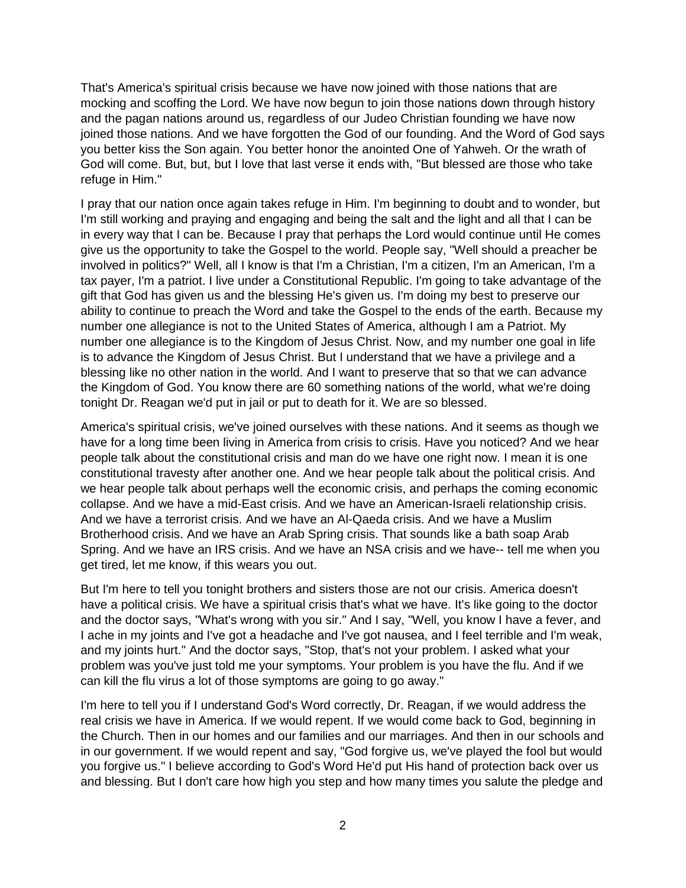That's America's spiritual crisis because we have now joined with those nations that are mocking and scoffing the Lord. We have now begun to join those nations down through history and the pagan nations around us, regardless of our Judeo Christian founding we have now joined those nations. And we have forgotten the God of our founding. And the Word of God says you better kiss the Son again. You better honor the anointed One of Yahweh. Or the wrath of God will come. But, but, but I love that last verse it ends with, "But blessed are those who take refuge in Him."

I pray that our nation once again takes refuge in Him. I'm beginning to doubt and to wonder, but I'm still working and praying and engaging and being the salt and the light and all that I can be in every way that I can be. Because I pray that perhaps the Lord would continue until He comes give us the opportunity to take the Gospel to the world. People say, "Well should a preacher be involved in politics?" Well, all I know is that I'm a Christian, I'm a citizen, I'm an American, I'm a tax payer, I'm a patriot. I live under a Constitutional Republic. I'm going to take advantage of the gift that God has given us and the blessing He's given us. I'm doing my best to preserve our ability to continue to preach the Word and take the Gospel to the ends of the earth. Because my number one allegiance is not to the United States of America, although I am a Patriot. My number one allegiance is to the Kingdom of Jesus Christ. Now, and my number one goal in life is to advance the Kingdom of Jesus Christ. But I understand that we have a privilege and a blessing like no other nation in the world. And I want to preserve that so that we can advance the Kingdom of God. You know there are 60 something nations of the world, what we're doing tonight Dr. Reagan we'd put in jail or put to death for it. We are so blessed.

America's spiritual crisis, we've joined ourselves with these nations. And it seems as though we have for a long time been living in America from crisis to crisis. Have you noticed? And we hear people talk about the constitutional crisis and man do we have one right now. I mean it is one constitutional travesty after another one. And we hear people talk about the political crisis. And we hear people talk about perhaps well the economic crisis, and perhaps the coming economic collapse. And we have a mid-East crisis. And we have an American-Israeli relationship crisis. And we have a terrorist crisis. And we have an Al-Qaeda crisis. And we have a Muslim Brotherhood crisis. And we have an Arab Spring crisis. That sounds like a bath soap Arab Spring. And we have an IRS crisis. And we have an NSA crisis and we have-- tell me when you get tired, let me know, if this wears you out.

But I'm here to tell you tonight brothers and sisters those are not our crisis. America doesn't have a political crisis. We have a spiritual crisis that's what we have. It's like going to the doctor and the doctor says, "What's wrong with you sir." And I say, "Well, you know I have a fever, and I ache in my joints and I've got a headache and I've got nausea, and I feel terrible and I'm weak, and my joints hurt." And the doctor says, "Stop, that's not your problem. I asked what your problem was you've just told me your symptoms. Your problem is you have the flu. And if we can kill the flu virus a lot of those symptoms are going to go away."

I'm here to tell you if I understand God's Word correctly, Dr. Reagan, if we would address the real crisis we have in America. If we would repent. If we would come back to God, beginning in the Church. Then in our homes and our families and our marriages. And then in our schools and in our government. If we would repent and say, "God forgive us, we've played the fool but would you forgive us." I believe according to God's Word He'd put His hand of protection back over us and blessing. But I don't care how high you step and how many times you salute the pledge and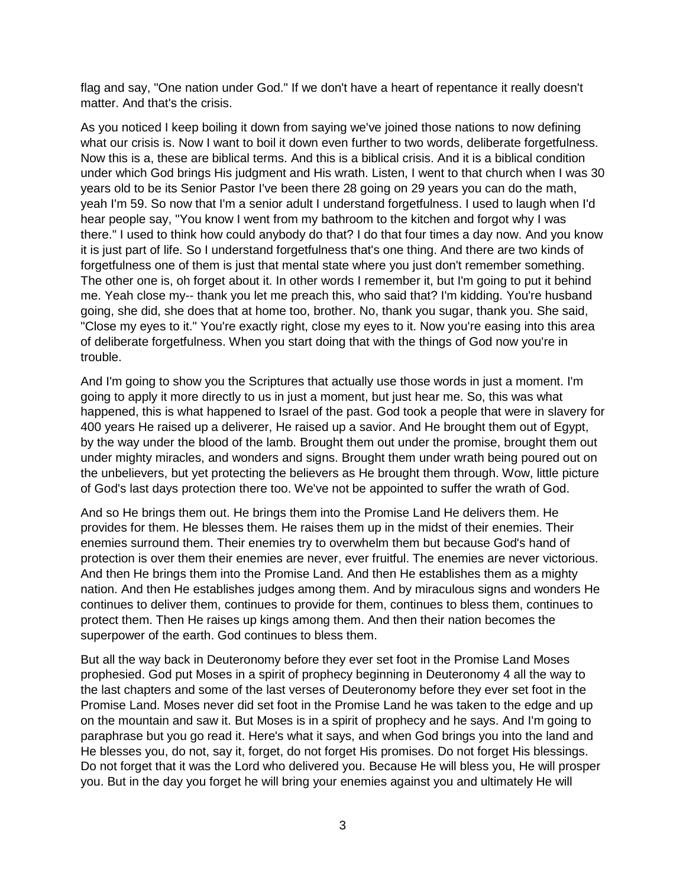flag and say, "One nation under God." If we don't have a heart of repentance it really doesn't matter. And that's the crisis.

As you noticed I keep boiling it down from saying we've joined those nations to now defining what our crisis is. Now I want to boil it down even further to two words, deliberate forgetfulness. Now this is a, these are biblical terms. And this is a biblical crisis. And it is a biblical condition under which God brings His judgment and His wrath. Listen, I went to that church when I was 30 years old to be its Senior Pastor I've been there 28 going on 29 years you can do the math, yeah I'm 59. So now that I'm a senior adult I understand forgetfulness. I used to laugh when I'd hear people say, "You know I went from my bathroom to the kitchen and forgot why I was there." I used to think how could anybody do that? I do that four times a day now. And you know it is just part of life. So I understand forgetfulness that's one thing. And there are two kinds of forgetfulness one of them is just that mental state where you just don't remember something. The other one is, oh forget about it. In other words I remember it, but I'm going to put it behind me. Yeah close my-- thank you let me preach this, who said that? I'm kidding. You're husband going, she did, she does that at home too, brother. No, thank you sugar, thank you. She said, "Close my eyes to it." You're exactly right, close my eyes to it. Now you're easing into this area of deliberate forgetfulness. When you start doing that with the things of God now you're in trouble.

And I'm going to show you the Scriptures that actually use those words in just a moment. I'm going to apply it more directly to us in just a moment, but just hear me. So, this was what happened, this is what happened to Israel of the past. God took a people that were in slavery for 400 years He raised up a deliverer, He raised up a savior. And He brought them out of Egypt, by the way under the blood of the lamb. Brought them out under the promise, brought them out under mighty miracles, and wonders and signs. Brought them under wrath being poured out on the unbelievers, but yet protecting the believers as He brought them through. Wow, little picture of God's last days protection there too. We've not be appointed to suffer the wrath of God.

And so He brings them out. He brings them into the Promise Land He delivers them. He provides for them. He blesses them. He raises them up in the midst of their enemies. Their enemies surround them. Their enemies try to overwhelm them but because God's hand of protection is over them their enemies are never, ever fruitful. The enemies are never victorious. And then He brings them into the Promise Land. And then He establishes them as a mighty nation. And then He establishes judges among them. And by miraculous signs and wonders He continues to deliver them, continues to provide for them, continues to bless them, continues to protect them. Then He raises up kings among them. And then their nation becomes the superpower of the earth. God continues to bless them.

But all the way back in Deuteronomy before they ever set foot in the Promise Land Moses prophesied. God put Moses in a spirit of prophecy beginning in Deuteronomy 4 all the way to the last chapters and some of the last verses of Deuteronomy before they ever set foot in the Promise Land. Moses never did set foot in the Promise Land he was taken to the edge and up on the mountain and saw it. But Moses is in a spirit of prophecy and he says. And I'm going to paraphrase but you go read it. Here's what it says, and when God brings you into the land and He blesses you, do not, say it, forget, do not forget His promises. Do not forget His blessings. Do not forget that it was the Lord who delivered you. Because He will bless you, He will prosper you. But in the day you forget he will bring your enemies against you and ultimately He will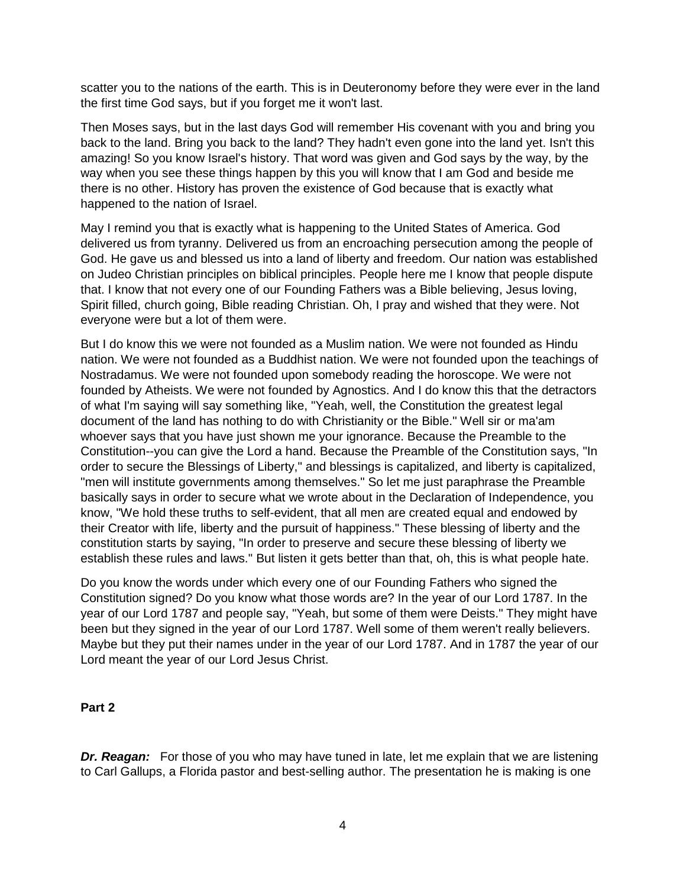scatter you to the nations of the earth. This is in Deuteronomy before they were ever in the land the first time God says, but if you forget me it won't last.

Then Moses says, but in the last days God will remember His covenant with you and bring you back to the land. Bring you back to the land? They hadn't even gone into the land yet. Isn't this amazing! So you know Israel's history. That word was given and God says by the way, by the way when you see these things happen by this you will know that I am God and beside me there is no other. History has proven the existence of God because that is exactly what happened to the nation of Israel.

May I remind you that is exactly what is happening to the United States of America. God delivered us from tyranny. Delivered us from an encroaching persecution among the people of God. He gave us and blessed us into a land of liberty and freedom. Our nation was established on Judeo Christian principles on biblical principles. People here me I know that people dispute that. I know that not every one of our Founding Fathers was a Bible believing, Jesus loving, Spirit filled, church going, Bible reading Christian. Oh, I pray and wished that they were. Not everyone were but a lot of them were.

But I do know this we were not founded as a Muslim nation. We were not founded as Hindu nation. We were not founded as a Buddhist nation. We were not founded upon the teachings of Nostradamus. We were not founded upon somebody reading the horoscope. We were not founded by Atheists. We were not founded by Agnostics. And I do know this that the detractors of what I'm saying will say something like, "Yeah, well, the Constitution the greatest legal document of the land has nothing to do with Christianity or the Bible." Well sir or ma'am whoever says that you have just shown me your ignorance. Because the Preamble to the Constitution--you can give the Lord a hand. Because the Preamble of the Constitution says, "In order to secure the Blessings of Liberty," and blessings is capitalized, and liberty is capitalized, "men will institute governments among themselves." So let me just paraphrase the Preamble basically says in order to secure what we wrote about in the Declaration of Independence, you know, "We hold these truths to self-evident, that all men are created equal and endowed by their Creator with life, liberty and the pursuit of happiness." These blessing of liberty and the constitution starts by saying, "In order to preserve and secure these blessing of liberty we establish these rules and laws." But listen it gets better than that, oh, this is what people hate.

Do you know the words under which every one of our Founding Fathers who signed the Constitution signed? Do you know what those words are? In the year of our Lord 1787. In the year of our Lord 1787 and people say, "Yeah, but some of them were Deists." They might have been but they signed in the year of our Lord 1787. Well some of them weren't really believers. Maybe but they put their names under in the year of our Lord 1787. And in 1787 the year of our Lord meant the year of our Lord Jesus Christ.

#### **Part 2**

**Dr. Reagan:** For those of you who may have tuned in late, let me explain that we are listening to Carl Gallups, a Florida pastor and best-selling author. The presentation he is making is one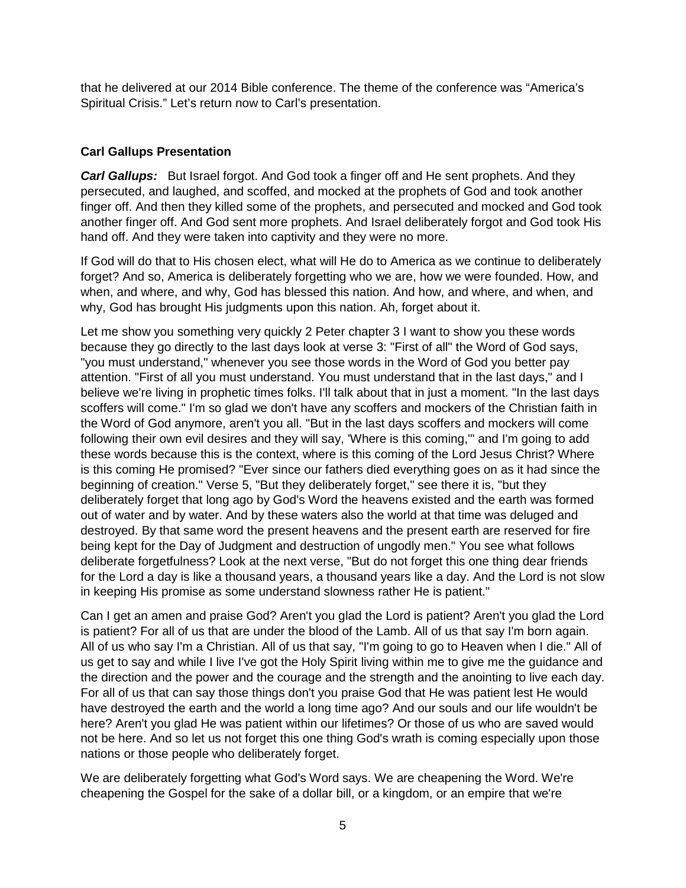that he delivered at our 2014 Bible conference. The theme of the conference was "America's Spiritual Crisis." Let's return now to Carl's presentation.

# **Carl Gallups Presentation**

*Carl Gallups:* But Israel forgot. And God took a finger off and He sent prophets. And they persecuted, and laughed, and scoffed, and mocked at the prophets of God and took another finger off. And then they killed some of the prophets, and persecuted and mocked and God took another finger off. And God sent more prophets. And Israel deliberately forgot and God took His hand off. And they were taken into captivity and they were no more.

If God will do that to His chosen elect, what will He do to America as we continue to deliberately forget? And so, America is deliberately forgetting who we are, how we were founded. How, and when, and where, and why, God has blessed this nation. And how, and where, and when, and why, God has brought His judgments upon this nation. Ah, forget about it.

Let me show you something very quickly 2 Peter chapter 3 I want to show you these words because they go directly to the last days look at verse 3: "First of all" the Word of God says, "you must understand," whenever you see those words in the Word of God you better pay attention. "First of all you must understand. You must understand that in the last days," and I believe we're living in prophetic times folks. I'll talk about that in just a moment. "In the last days scoffers will come." I'm so glad we don't have any scoffers and mockers of the Christian faith in the Word of God anymore, aren't you all. "But in the last days scoffers and mockers will come following their own evil desires and they will say, 'Where is this coming,'" and I'm going to add these words because this is the context, where is this coming of the Lord Jesus Christ? Where is this coming He promised? "Ever since our fathers died everything goes on as it had since the beginning of creation." Verse 5, "But they deliberately forget," see there it is, "but they deliberately forget that long ago by God's Word the heavens existed and the earth was formed out of water and by water. And by these waters also the world at that time was deluged and destroyed. By that same word the present heavens and the present earth are reserved for fire being kept for the Day of Judgment and destruction of ungodly men." You see what follows deliberate forgetfulness? Look at the next verse, "But do not forget this one thing dear friends for the Lord a day is like a thousand years, a thousand years like a day. And the Lord is not slow in keeping His promise as some understand slowness rather He is patient."

Can I get an amen and praise God? Aren't you glad the Lord is patient? Aren't you glad the Lord is patient? For all of us that are under the blood of the Lamb. All of us that say I'm born again. All of us who say I'm a Christian. All of us that say, "I'm going to go to Heaven when I die." All of us get to say and while I live I've got the Holy Spirit living within me to give me the guidance and the direction and the power and the courage and the strength and the anointing to live each day. For all of us that can say those things don't you praise God that He was patient lest He would have destroyed the earth and the world a long time ago? And our souls and our life wouldn't be here? Aren't you glad He was patient within our lifetimes? Or those of us who are saved would not be here. And so let us not forget this one thing God's wrath is coming especially upon those nations or those people who deliberately forget.

We are deliberately forgetting what God's Word says. We are cheapening the Word. We're cheapening the Gospel for the sake of a dollar bill, or a kingdom, or an empire that we're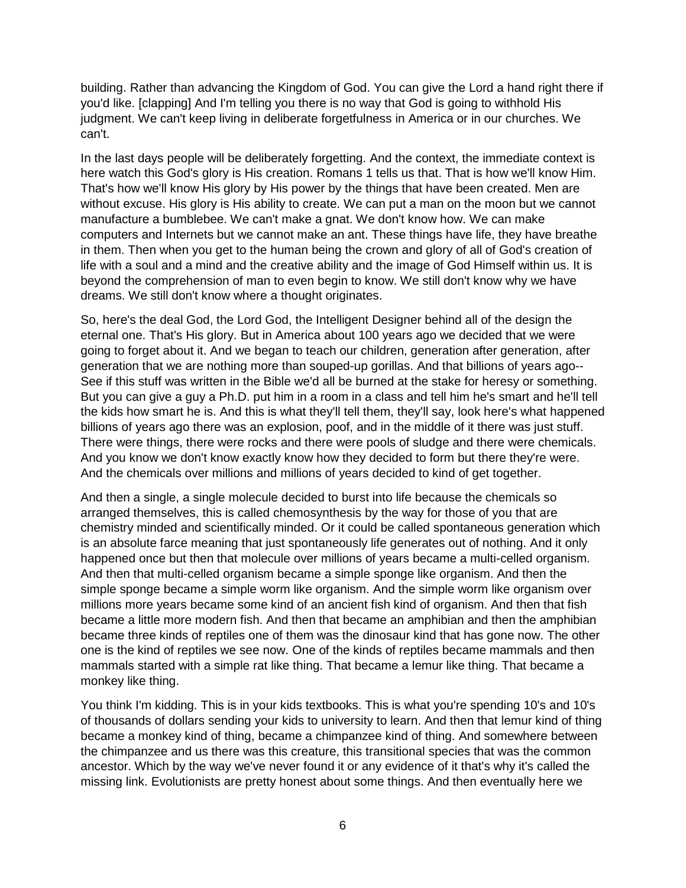building. Rather than advancing the Kingdom of God. You can give the Lord a hand right there if you'd like. [clapping] And I'm telling you there is no way that God is going to withhold His judgment. We can't keep living in deliberate forgetfulness in America or in our churches. We can't.

In the last days people will be deliberately forgetting. And the context, the immediate context is here watch this God's glory is His creation. Romans 1 tells us that. That is how we'll know Him. That's how we'll know His glory by His power by the things that have been created. Men are without excuse. His glory is His ability to create. We can put a man on the moon but we cannot manufacture a bumblebee. We can't make a gnat. We don't know how. We can make computers and Internets but we cannot make an ant. These things have life, they have breathe in them. Then when you get to the human being the crown and glory of all of God's creation of life with a soul and a mind and the creative ability and the image of God Himself within us. It is beyond the comprehension of man to even begin to know. We still don't know why we have dreams. We still don't know where a thought originates.

So, here's the deal God, the Lord God, the Intelligent Designer behind all of the design the eternal one. That's His glory. But in America about 100 years ago we decided that we were going to forget about it. And we began to teach our children, generation after generation, after generation that we are nothing more than souped-up gorillas. And that billions of years ago-- See if this stuff was written in the Bible we'd all be burned at the stake for heresy or something. But you can give a guy a Ph.D. put him in a room in a class and tell him he's smart and he'll tell the kids how smart he is. And this is what they'll tell them, they'll say, look here's what happened billions of years ago there was an explosion, poof, and in the middle of it there was just stuff. There were things, there were rocks and there were pools of sludge and there were chemicals. And you know we don't know exactly know how they decided to form but there they're were. And the chemicals over millions and millions of years decided to kind of get together.

And then a single, a single molecule decided to burst into life because the chemicals so arranged themselves, this is called chemosynthesis by the way for those of you that are chemistry minded and scientifically minded. Or it could be called spontaneous generation which is an absolute farce meaning that just spontaneously life generates out of nothing. And it only happened once but then that molecule over millions of years became a multi-celled organism. And then that multi-celled organism became a simple sponge like organism. And then the simple sponge became a simple worm like organism. And the simple worm like organism over millions more years became some kind of an ancient fish kind of organism. And then that fish became a little more modern fish. And then that became an amphibian and then the amphibian became three kinds of reptiles one of them was the dinosaur kind that has gone now. The other one is the kind of reptiles we see now. One of the kinds of reptiles became mammals and then mammals started with a simple rat like thing. That became a lemur like thing. That became a monkey like thing.

You think I'm kidding. This is in your kids textbooks. This is what you're spending 10's and 10's of thousands of dollars sending your kids to university to learn. And then that lemur kind of thing became a monkey kind of thing, became a chimpanzee kind of thing. And somewhere between the chimpanzee and us there was this creature, this transitional species that was the common ancestor. Which by the way we've never found it or any evidence of it that's why it's called the missing link. Evolutionists are pretty honest about some things. And then eventually here we